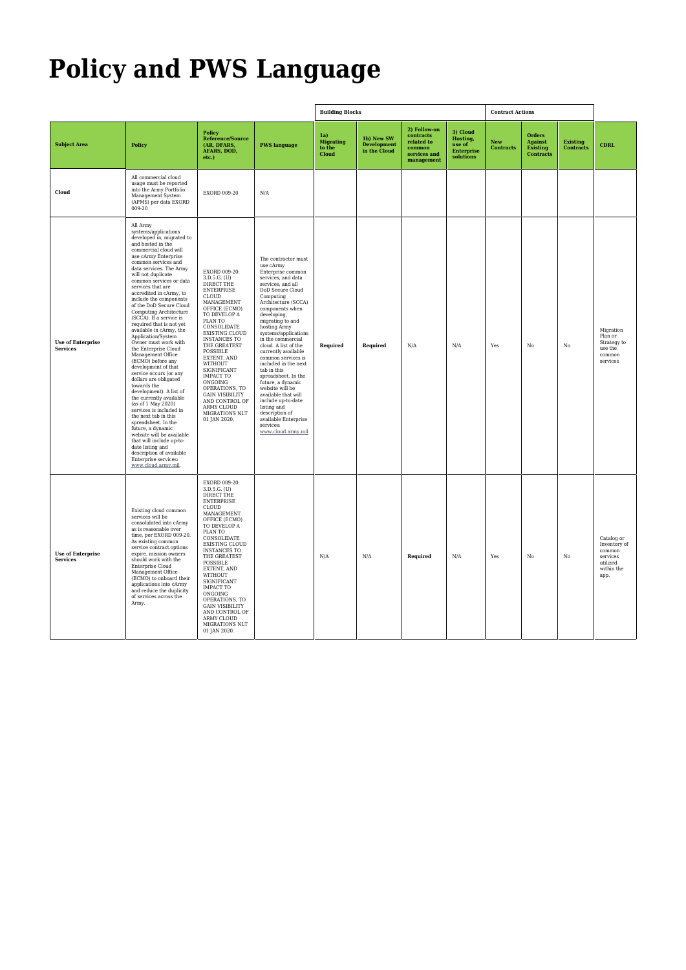# **Policy and PWS Language**

|                                             |                                                                                                                                                                                                                                                                                                                                                                                                                                                                                                                                                                                                                                                                                                                                                                                                                                                                                                                                                                                                     |                                                                                                                                                                                                                                                                                                                                                                                                                             |                                                                                                                                                                                                                                                                                                                                                                                                                                                                                                                                                                                                 | <b>Building Blocks</b>                     |                                                  |                                                                                 |                                                                  | <b>Contract Actions</b> |                                                          |                                     |                                                                                    |
|---------------------------------------------|-----------------------------------------------------------------------------------------------------------------------------------------------------------------------------------------------------------------------------------------------------------------------------------------------------------------------------------------------------------------------------------------------------------------------------------------------------------------------------------------------------------------------------------------------------------------------------------------------------------------------------------------------------------------------------------------------------------------------------------------------------------------------------------------------------------------------------------------------------------------------------------------------------------------------------------------------------------------------------------------------------|-----------------------------------------------------------------------------------------------------------------------------------------------------------------------------------------------------------------------------------------------------------------------------------------------------------------------------------------------------------------------------------------------------------------------------|-------------------------------------------------------------------------------------------------------------------------------------------------------------------------------------------------------------------------------------------------------------------------------------------------------------------------------------------------------------------------------------------------------------------------------------------------------------------------------------------------------------------------------------------------------------------------------------------------|--------------------------------------------|--------------------------------------------------|---------------------------------------------------------------------------------|------------------------------------------------------------------|-------------------------|----------------------------------------------------------|-------------------------------------|------------------------------------------------------------------------------------|
| <b>Subject Area</b>                         | Policy                                                                                                                                                                                                                                                                                                                                                                                                                                                                                                                                                                                                                                                                                                                                                                                                                                                                                                                                                                                              | <b>Policy</b><br>Reference/Source<br>(AR, DFARS,<br>AFARS, DOD,<br>etc.)                                                                                                                                                                                                                                                                                                                                                    | <b>PWS</b> language                                                                                                                                                                                                                                                                                                                                                                                                                                                                                                                                                                             | 1a)<br><b>Migrating</b><br>to the<br>Cloud | 1b) New SW<br><b>Development</b><br>in the Cloud | 2) Follow-on<br>contracts<br>related to<br>common<br>services and<br>management | 3) Cloud<br>Hosting,<br>use of<br><b>Enterprise</b><br>solutions | New<br><b>Contracts</b> | Orders<br>Against<br><b>Existing</b><br><b>Contracts</b> | <b>Existing</b><br><b>Contracts</b> | <b>CDRL</b>                                                                        |
| Cloud                                       | All commercial cloud<br>usage must be reported<br>into the Army Portfolio<br>Management System<br>(APMS) per data EXORD<br>009-20                                                                                                                                                                                                                                                                                                                                                                                                                                                                                                                                                                                                                                                                                                                                                                                                                                                                   | EXORD 009-20                                                                                                                                                                                                                                                                                                                                                                                                                | $\rm N/A$                                                                                                                                                                                                                                                                                                                                                                                                                                                                                                                                                                                       |                                            |                                                  |                                                                                 |                                                                  |                         |                                                          |                                     |                                                                                    |
| <b>Use of Enterprise</b><br><b>Services</b> | All Army<br>systems/applications<br>developed in, migrated to<br>and hosted in the<br>commercial cloud will<br>use cArmy Enterprise<br>common services and<br>data services. The Army<br>will not duplicate<br>common services or data<br>services that are<br>accredited in cArmy, to<br>include the components<br>of the DoD Secure Cloud<br>Computing Architecture<br>(SCCA). If a service is<br>required that is not yet<br>available in cArmy, the<br>Application/System<br>Owner must work with<br>the Enterprise Cloud<br>Management Office<br>(ECMO) before any<br>development of that<br>service occurs (or any<br>dollars are obligated<br>towards the<br>development). A list of<br>the currently available<br>(as of 1 May 2020)<br>services is included in<br>the next tab in this<br>spreadsheet. In the<br>future, a dynamic<br>website will be available<br>that will include up-to-<br>date listing and<br>description of available<br>Enterprise services:<br>www.cloud.army.mil. | EXORD 009-20:<br>3.D.5.G. (U)<br>DIRECT THE<br><b>ENTERPRISE</b><br>CLOUD<br>MANAGEMENT<br>OFFICE (ECMO)<br>TO DEVELOP A<br>PLAN TO<br>CONSOLIDATE<br><b>EXISTING CLOUD</b><br><b>INSTANCES TO</b><br>THE GREATEST<br>POSSIBLE<br>EXTENT, AND<br><b>WITHOUT</b><br>SIGNIFICANT<br><b>IMPACT TO</b><br>ONGOING<br>OPERATIONS, TO<br><b>GAIN VISIBILITY</b><br>AND CONTROL OF<br>ARMY CLOUD<br>MIGRATIONS NLT<br>01 JAN 2020. | The contractor must<br>use cArmy<br>Enterprise common<br>services, and data<br>services, and all<br>DoD Secure Cloud<br>Computing<br>Architecture (SCCA)<br>components when<br>developing,<br>migrating to and<br>hosting Army<br>systems/applications<br>in the commercial<br>cloud. A list of the<br>currently available<br>common services is<br>included in the next<br>tab in this<br>spreadsheet. In the<br>future, a dynamic<br>website will be<br>available that will<br>include up-to-date<br>listing and<br>description of<br>available Enterprise<br>services:<br>www.cloud.army.mil | Required                                   | Required                                         | N/A                                                                             | N/A                                                              | Yes                     | No                                                       | No                                  | Migration<br>Plan or<br>Strategy to<br>use the<br>common<br>services               |
| <b>Use of Enterprise</b><br><b>Services</b> | Existing cloud common<br>services will be<br>consolidated into cArmy<br>as is reasonable over $% \left\vert \cdot \right\rangle$<br>time, per EXORD 009-20.<br>As existing common<br>service contract options<br>expire, mission owners<br>should work with the<br>Enterprise Cloud<br>Management Office<br>(ECMO) to onboard their<br>applications into cArmy<br>and reduce the duplicity<br>of services across the<br>Army.                                                                                                                                                                                                                                                                                                                                                                                                                                                                                                                                                                       | EXORD 009-20:<br>3.D.5.G. (U)<br>DIRECT THE<br><b>ENTERPRISE</b><br>CLOUD<br>MANAGEMENT<br>OFFICE (ECMO)<br>TO DEVELOP A<br>PLAN TO<br>CONSOLIDATE<br><b>EXISTING CLOUD</b><br><b>INSTANCES TO</b><br>THE GREATEST<br>POSSIBLE<br>EXTENT, AND<br>WITHOUT<br>SIGNIFICANT<br><b>IMPACT TO</b><br>ONGOING<br>OPERATIONS, TO<br><b>GAIN VISIBILITY</b><br>AND CONTROL OF<br>ARMY CLOUD<br>MIGRATIONS NLT<br>01 JAN 2020.        |                                                                                                                                                                                                                                                                                                                                                                                                                                                                                                                                                                                                 | N/A                                        | N/A                                              | Required                                                                        | N/A                                                              | Yes                     | $_{\rm No}$                                              | No                                  | Catalog or<br>Inventory of<br>common<br>services<br>utilized<br>within the<br>app. |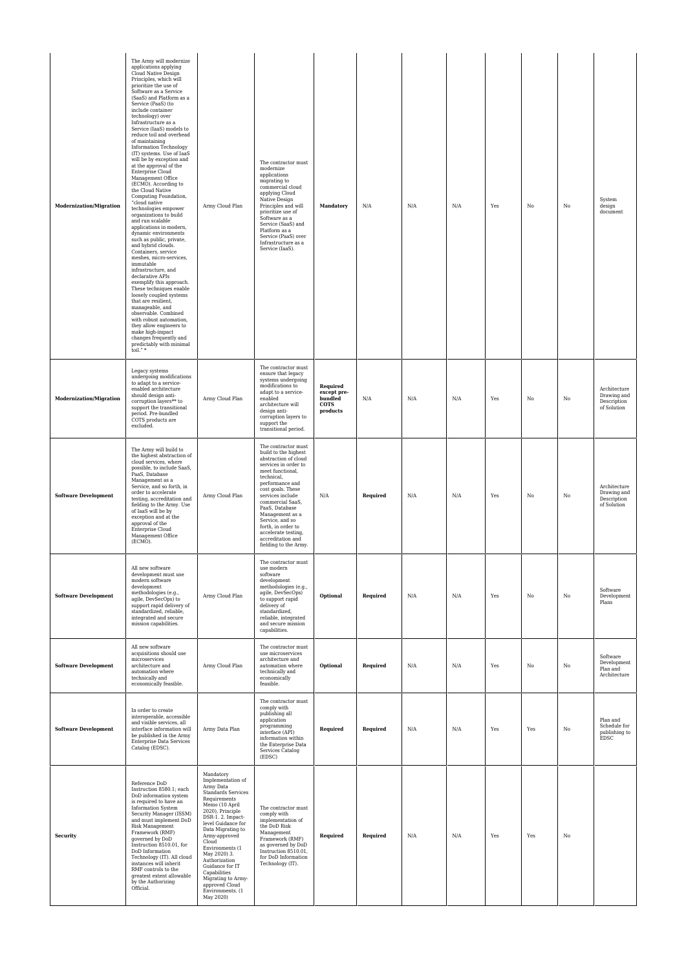| Modernization/Migration     | The Army will modernize<br>applications applying<br>Cloud Native Design<br>Principles, which will<br>prioritize the use of<br>Software as a Service<br>(SaaS) and Platform as a<br>Service (PaaS) (to<br>include container<br>technology) over<br>Infrastructure as a<br>Service (IaaS) models to<br>reduce toil and overhead<br>of maintaining<br>Information Technology<br>(IT) systems. Use of IaaS<br>will be by exception and<br>at the approval of the<br>Enterprise Cloud<br>Management Office<br>(ECMO). According to<br>the Cloud Native<br>Computing Foundation,<br>"cloud native<br>technologies empower<br>organizations to build<br>and run scalable<br>applications in modern,<br>dynamic environments<br>such as public, private,<br>and hybrid clouds.<br>Containers, service<br>meshes, micro-services,<br>immutable<br>infrastructure, and<br>declarative APIs<br>exemplify this approach.<br>These techniques enable<br>loosely coupled systems<br>that are resilient,<br>manageable, and<br>observable. Combined<br>with robust automation,<br>they allow engineers to<br>make high-impact<br>changes frequently and<br>predictably with minimal<br>toil."* | Army Cloud Plan                                                                                                                                                                                                                                                                                                                                                                         | The contractor must<br>modernize<br>applications<br>migrating to<br>commercial cloud<br>applying Cloud<br>Native Design<br>Principles and will<br>prioritize use of<br>Software as a<br>Service (SaaS) and<br>Platform as a<br>Service (PaaS) over<br>Infrastructure as a<br>Service (IaaS).                                                                     | Mandatory                                                     | N/A      | N/A | N/A | Yes | No  | No | System<br>design<br>document                              |
|-----------------------------|---------------------------------------------------------------------------------------------------------------------------------------------------------------------------------------------------------------------------------------------------------------------------------------------------------------------------------------------------------------------------------------------------------------------------------------------------------------------------------------------------------------------------------------------------------------------------------------------------------------------------------------------------------------------------------------------------------------------------------------------------------------------------------------------------------------------------------------------------------------------------------------------------------------------------------------------------------------------------------------------------------------------------------------------------------------------------------------------------------------------------------------------------------------------------------|-----------------------------------------------------------------------------------------------------------------------------------------------------------------------------------------------------------------------------------------------------------------------------------------------------------------------------------------------------------------------------------------|------------------------------------------------------------------------------------------------------------------------------------------------------------------------------------------------------------------------------------------------------------------------------------------------------------------------------------------------------------------|---------------------------------------------------------------|----------|-----|-----|-----|-----|----|-----------------------------------------------------------|
| Modernization/Migration     | Legacy systems<br>undergoing modifications<br>to adapt to a service-<br>enabled architecture<br>should design anti-<br>corruption layers** to<br>support the transitional<br>period. Pre-bundled<br>COTS products are<br>excluded.                                                                                                                                                                                                                                                                                                                                                                                                                                                                                                                                                                                                                                                                                                                                                                                                                                                                                                                                              | Army Cloud Plan                                                                                                                                                                                                                                                                                                                                                                         | The contractor must<br>ensure that legacy<br>systems undergoing<br>modifications to<br>adapt to a service-<br>enabled<br>architecture will<br>design anti-<br>corruption layers to<br>support the<br>transitional period.                                                                                                                                        | Required<br>except pre-<br>bundled<br><b>COTS</b><br>products | N/A      | N/A | N/A | Yes | No  | No | Architecture<br>Drawing and<br>Description<br>of Solution |
| <b>Software Development</b> | The Army will build to<br>the highest abstraction of<br>cloud services, where<br>possible, to include SaaS,<br>PaaS, Database<br>Management as a<br>Service, and so forth, in<br>order to accelerate<br>testing, accreditation and<br>fielding to the Army. Use<br>of IaaS will be by<br>exception and at the<br>approval of the<br>Enterprise Cloud<br>Management Office<br>(ECMO).                                                                                                                                                                                                                                                                                                                                                                                                                                                                                                                                                                                                                                                                                                                                                                                            | Army Cloud Plan                                                                                                                                                                                                                                                                                                                                                                         | The contractor must<br>build to the highest<br>abstraction of cloud<br>services in order to<br>meet functional,<br>technical,<br>performance and<br>cost goals. These<br>services include<br>commercial SaaS,<br>PaaS, Database<br>Management as a<br>Service, and so<br>forth, in order to<br>accelerate testing,<br>accreditation and<br>fielding to the Army. | N/A                                                           | Required | N/A | N/A | Yes | No  | No | Architecture<br>Drawing and<br>Description<br>of Solution |
| <b>Software Development</b> | All new software<br>development must use<br>$\operatorname{modern}$ software<br>development<br>methodologies (e.g.,<br>agile, DevSecOps) to<br>support rapid delivery of<br>standardized, reliable,<br>integrated and secure<br>mission capabilities.                                                                                                                                                                                                                                                                                                                                                                                                                                                                                                                                                                                                                                                                                                                                                                                                                                                                                                                           | Army Cloud Plan                                                                                                                                                                                                                                                                                                                                                                         | The contractor must<br>use modern<br>software<br>development<br>methodologies (e.g.,<br>agile, DevSecOps)<br>to support rapid<br>delivery of<br>standardized,<br>reliable, integrated<br>and secure mission<br>capabilities.                                                                                                                                     | Optional                                                      | Required | N/A | N/A | Yes | No  | No | Software<br>Development<br>Plans                          |
| <b>Software Development</b> | All new software<br>acquisitions should use<br>microservices<br>architecture and<br>automation where<br>technically and<br>economically feasible.                                                                                                                                                                                                                                                                                                                                                                                                                                                                                                                                                                                                                                                                                                                                                                                                                                                                                                                                                                                                                               | Army Cloud Plan                                                                                                                                                                                                                                                                                                                                                                         | The contractor must<br>use microservices<br>architecture and<br>automation where<br>technically and<br>economically<br>feasible.                                                                                                                                                                                                                                 | Optional                                                      | Required | N/A | N/A | Yes | No  | No | Software<br>Development<br>Plan and<br>Architecture       |
| <b>Software Development</b> | In order to create<br>interoperable, accessible<br>and visible services, all<br>interface information will<br>be published in the Army<br>Enterprise Data Services<br>Catalog (EDSC).                                                                                                                                                                                                                                                                                                                                                                                                                                                                                                                                                                                                                                                                                                                                                                                                                                                                                                                                                                                           | Army Data Plan                                                                                                                                                                                                                                                                                                                                                                          | The contractor must<br>comply with<br>publishing all<br>application<br>programming<br>interface (API)<br>information within<br>the Enterprise Data<br>Services Catalog<br>(EDSC)                                                                                                                                                                                 | Required                                                      | Required | N/A | N/A | Yes | Yes | No | Plan and<br>Schedule for<br>publishing to<br>EDSC         |
| <b>Security</b>             | Reference DoD<br>Instruction 8580.1; each<br>DoD information system<br>is required to have an<br>Information System<br>Security Manager (ISSM)<br>and must implement DoD<br>Risk Management<br>Framework (RMF)<br>governed by DoD<br>Instruction 8510.01, for<br>DoD Information<br>Technology (IT). All cloud<br>instances will inherit<br>RMF controls to the<br>greatest extent allowable<br>by the Authorizing<br>Official.                                                                                                                                                                                                                                                                                                                                                                                                                                                                                                                                                                                                                                                                                                                                                 | Mandatory<br>Implementation of<br>Army Data<br><b>Standards Services</b><br>Requirements<br>Memo (10 April<br>2020), Principle<br>DSR-1.2. Impact-<br>level Guidance for<br>Data Migrating to<br>Army-approved<br>Cloud<br>Environments (1<br>May 2020) 3.<br>Authorization<br>Guidance for IT<br>Capabilities<br>Migrating to Army-<br>approved Cloud<br>Environments. (1<br>May 2020) | The contractor must<br>comply with<br>implementation of<br>the DoD Risk<br>Management<br>Framework (RMF)<br>as governed by DoD<br>Instruction 8510.01,<br>for DoD Information<br>Technology (IT).                                                                                                                                                                | Required                                                      | Required | N/A | N/A | Yes | Yes | No |                                                           |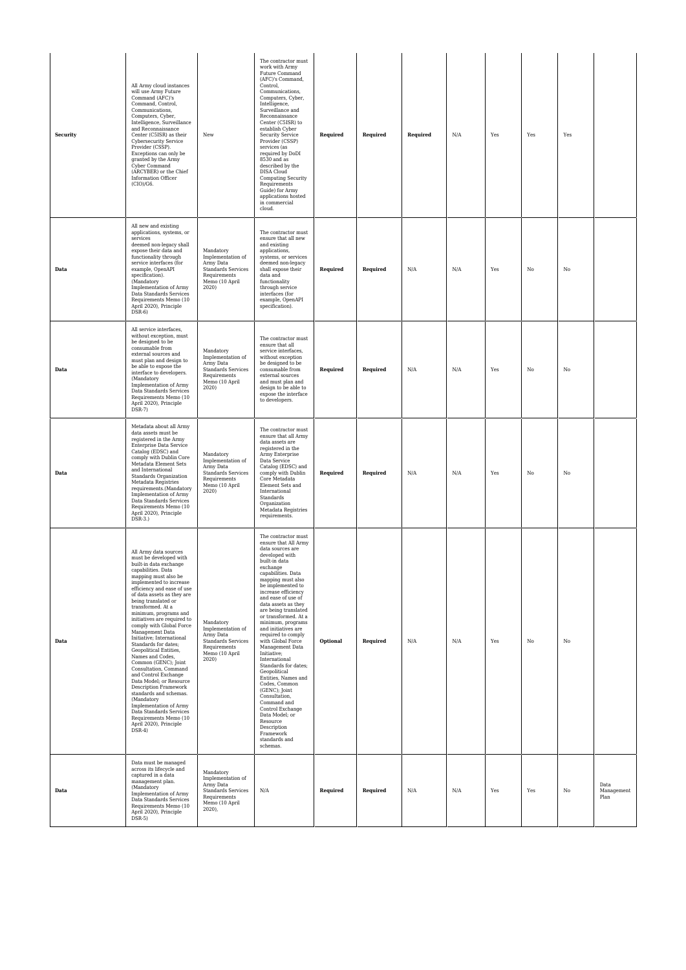| Security | All Army cloud instances<br>will use Army Future<br>Command (AFC)'s<br>Command, Control,<br>Communications,<br>Computers, Cyber,<br>Intelligence, Surveillance<br>and Reconnaissance<br>Center (C5ISR) as their<br>Cybersecurity Service<br>Provider (CSSP).<br>Exceptions can only be<br>granted by the Army<br>Cyber Command<br>(ARCYBER) or the Chief<br>Information Officer<br>$(CIO)/G6$ .                                                                                                                                                                                                                                                                                                                                                               | New                                                                                                                     | The contractor must<br>work with Army<br>Future Command<br>(AFC)'s Command,<br>Control,<br>Communications,<br>Computers, Cyber,<br>Intelligence,<br>Surveillance and<br>Reconnaissance<br>Center (C5ISR) to<br>establish Cyber<br><b>Security Service</b><br>Provider (CSSP)<br>services (as<br>required by DoDI<br>8530 and as<br>described by the<br>DISA Cloud<br>Computing Security<br>Requirements<br>Guide) for Army<br>applications hosted<br>in commercial<br>cloud.                                                                                                                                                                                                             | Required | Required | Required | N/A | Yes | Yes | Yes |                            |
|----------|---------------------------------------------------------------------------------------------------------------------------------------------------------------------------------------------------------------------------------------------------------------------------------------------------------------------------------------------------------------------------------------------------------------------------------------------------------------------------------------------------------------------------------------------------------------------------------------------------------------------------------------------------------------------------------------------------------------------------------------------------------------|-------------------------------------------------------------------------------------------------------------------------|------------------------------------------------------------------------------------------------------------------------------------------------------------------------------------------------------------------------------------------------------------------------------------------------------------------------------------------------------------------------------------------------------------------------------------------------------------------------------------------------------------------------------------------------------------------------------------------------------------------------------------------------------------------------------------------|----------|----------|----------|-----|-----|-----|-----|----------------------------|
| Data     | All new and existing<br>applications, systems, or<br>services<br>deemed non-legacy shall<br>expose their data and<br>functionality through<br>service interfaces (for<br>example, OpenAPI<br>specification).<br>(Mandatory<br>Implementation of Army<br>Data Standards Services<br>Requirements Memo (10<br>April 2020), Principle<br>$DSR-6$                                                                                                                                                                                                                                                                                                                                                                                                                 | Mandatory<br>Implementation of<br>Army Data<br><b>Standards Services</b><br>Requirements<br>Memo (10 April<br>2020)     | The contractor must<br>ensure that all new<br>and existing<br>applications,<br>systems, or services<br>deemed non-legacy<br>shall expose their<br>data and<br>functionality<br>through service<br>interfaces (for<br>example, OpenAPI<br>specification).                                                                                                                                                                                                                                                                                                                                                                                                                                 | Required | Required | N/A      | N/A | Yes | No  | No  |                            |
| Data     | All service interfaces,<br>without exception, must<br>be designed to be<br>consumable from<br>external sources and<br>must plan and design to<br>be able to expose the<br>interface to developers.<br>(Mandatory<br>Implementation of Army<br>Data Standards Services<br>Requirements Memo (10<br>April 2020), Principle<br>$DSR-7)$                                                                                                                                                                                                                                                                                                                                                                                                                          | Mandatory<br>Implementation of<br>Army Data<br>Standards Services<br>Requirements<br>Memo (10 April<br>2020)            | The contractor must<br>ensure that all<br>service interfaces,<br>without exception<br>be designed to be<br>consumable from<br>external sources<br>and must plan and<br>design to be able to<br>expose the interface<br>to developers.                                                                                                                                                                                                                                                                                                                                                                                                                                                    | Required | Required | N/A      | N/A | Yes | No  | No  |                            |
| Data     | Metadata about all Army<br>data assets must be<br>registered in the Army<br>Enterprise Data Service<br>Catalog (EDSC) and<br>comply with Dublin Core<br>Metadata Element Sets<br>and International<br>Standards Organization<br>Metadata Registries<br>requirements.(Mandatory<br>Implementation of Army<br>Data Standards Services<br>Requirements Memo (10<br>April 2020), Principle<br>$DSR-3.$ )                                                                                                                                                                                                                                                                                                                                                          | Mandatory<br>Implementation of<br>Army Data<br>Standards Services<br>Requirements<br>Memo (10 April<br>2020)            | The contractor must<br>ensure that all Army<br>data assets are<br>reqistered in the<br>Army Enterprise<br>Data Service<br>Catalog (EDSC) and<br>comply with Dublin<br>Core Metadata<br>Element Sets and<br>International<br>Standards<br>Organization<br>Metadata Registries<br>requirements.                                                                                                                                                                                                                                                                                                                                                                                            | Required | Required | N/A      | N/A | Yes | No  | No  |                            |
| Data     | All Army data sources<br>must be developed with<br>built-in data exchange<br>capabilities. Data<br>mapping must also be<br>implemented to increase<br>efficiency and ease of use<br>of data assets as they are<br>being translated or<br>transformed. At a<br>minimum, programs and<br>initiatives are required to<br>comply with Global Force<br>Management Data<br>Initiative; International<br>Standards for dates;<br>Geopolitical Entities,<br>Names and Codes,<br>Common (GENC); Joint<br>Consultation, Command<br>and Control Exchange<br>Data Model; or Resource<br>Description Framework<br>standards and schemas.<br>(Mandatory<br>Implementation of Army<br>Data Standards Services<br>Requirements Memo (10<br>April 2020), Principle<br>$DSR-4)$ | Mandatory<br>Implementation of<br>Army Data<br><b>Standards Services</b><br>Requirements<br>Memo (10 April<br>2020)     | The contractor must<br>ensure that All Army<br>data sources are<br>developed with<br>built-in data<br>exchange<br>capabilities. Data<br>mapping must also<br>be implemented to<br>increase efficiency<br>and ease of use of<br>data assets as they<br>are being translated<br>or transformed. At a<br>minimum, programs<br>and initiatives are<br>required to comply<br>with Global Force<br>Management Data<br>Initiative;<br>International<br>Standards for dates:<br>Geopolitical<br>Entities, Names and<br>Codes, Common<br>(GENC); Joint<br>Consultation,<br>Command and<br>Control Exchange<br>Data Model; or<br>Resource<br>Description<br>Framework<br>standards and<br>schemas. | Optional | Required | N/A      | N/A | Yes | No  | No  |                            |
| Data     | Data must be managed<br>across its lifecycle and<br>captured in a data<br>management plan.<br>(Mandatory<br>Implementation of Army<br>Data Standards Services<br>Requirements Memo (10<br>April 2020), Principle<br>$DSR-5)$                                                                                                                                                                                                                                                                                                                                                                                                                                                                                                                                  | Mandatory<br>Implementation of<br>Army Data<br><b>Standards Services</b><br>Requirements<br>Memo (10 April<br>$2020$ ), | N/A                                                                                                                                                                                                                                                                                                                                                                                                                                                                                                                                                                                                                                                                                      | Required | Required | N/A      | N/A | Yes | Yes | No  | Data<br>Management<br>Plan |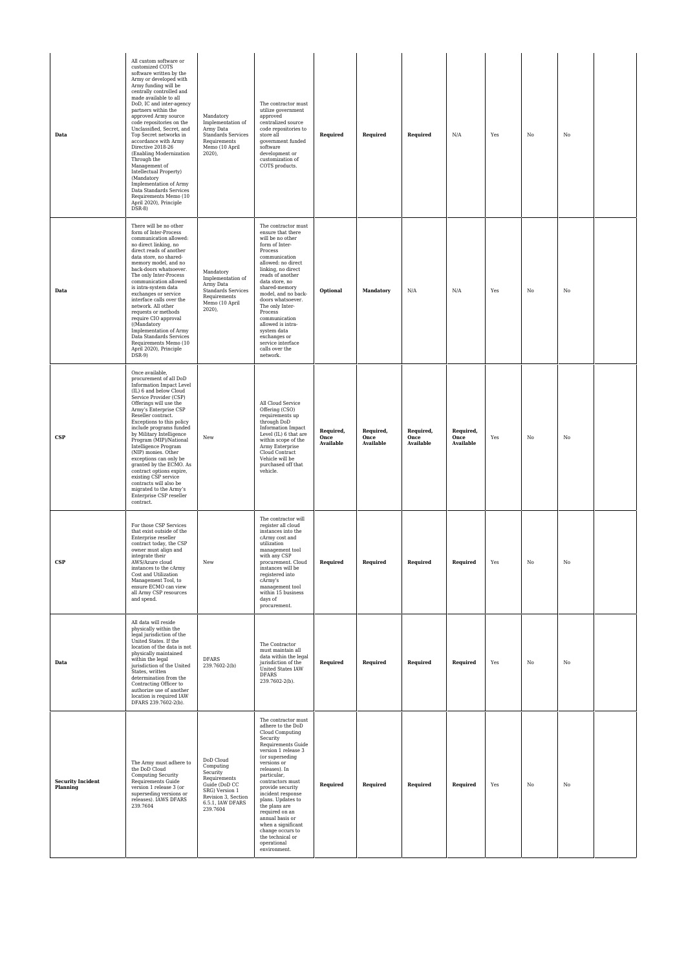| Data                                 | All custom software or<br>customized COTS<br>software written by the<br>Army or developed with<br>Army funding will be<br>centrally controlled and<br>made available to all<br>DoD, IC and inter-agency<br>partners within the<br>approved Army source<br>code repositories on the<br>Unclassified, Secret, and<br>Top Secret networks in<br>accordance with Army<br>Directive 2018-26<br>(Enabling Modernization<br>Through the<br>Management of<br>Intellectual Property)<br>(Mandatory<br>Implementation of Army<br>Data Standards Services<br>Requirements Memo (10<br>April 2020), Principle<br>$DSR-8$ | Mandatory<br>Implementation of<br>Army Data<br>Standards Services<br>Requirements<br>Memo (10 April<br>$2020$ ),                             | The contractor must<br>utilize government<br>approved<br>centralized source<br>code repositories to<br>store all<br>government funded<br>software<br>development or<br>customization of<br>COTS products.                                                                                                                                                                                                                   | Required                       | Required                       | Required                              | N/A                            | Yes | No          | No          |  |
|--------------------------------------|--------------------------------------------------------------------------------------------------------------------------------------------------------------------------------------------------------------------------------------------------------------------------------------------------------------------------------------------------------------------------------------------------------------------------------------------------------------------------------------------------------------------------------------------------------------------------------------------------------------|----------------------------------------------------------------------------------------------------------------------------------------------|-----------------------------------------------------------------------------------------------------------------------------------------------------------------------------------------------------------------------------------------------------------------------------------------------------------------------------------------------------------------------------------------------------------------------------|--------------------------------|--------------------------------|---------------------------------------|--------------------------------|-----|-------------|-------------|--|
| Data                                 | There will be no other<br>form of Inter-Process<br>communication allowed:<br>no direct linking, no<br>direct reads of another<br>data store, no shared-<br>memory model, and no<br>back-doors whatsoever.<br>The only Inter-Process<br>communication allowed<br>is intra-system data<br>exchanges or service<br>interface calls over the<br>network. All other<br>requests or methods<br>require CIO approval<br>((Mandatory<br>Implementation of Army<br>Data Standards Services<br>Requirements Memo (10<br>April 2020), Principle<br>$DSR-9$                                                              | Mandatory<br>Implementation of<br>Army Data<br><b>Standards Services</b><br>Requirements<br>Memo (10 April<br>2020),                         | The contractor must<br>ensure that there<br>will be no other<br>form of Inter-<br>Process<br>communication<br>allowed: no direct<br>linking, no direct<br>reads of another<br>data store, no<br>shared-memory<br>model, and no back-<br>doors whatsoever.<br>The only Inter-<br>Process<br>communication<br>allowed is intra-<br>system data<br>exchanges or<br>service interface<br>calls over the<br>network.             | Optional                       | Mandatory                      | N/A                                   | N/A                            | Yes | $_{\rm No}$ | No          |  |
| <b>CSP</b>                           | Once available,<br>procurement of all DoD<br>Information Impact Level<br>(IL) 6 and below Cloud<br>Service Provider (CSP)<br>Offerings will use the<br>Army's Enterprise CSP<br>Reseller contract.<br>Exceptions to this policy<br>include programs funded<br>by Military Intelligence<br>Program (MIP)/National<br>Intelligence Program<br>(NIP) monies. Other<br>exceptions can only be<br>granted by the ECMO. As<br>contract options expire,<br>existing CSP service<br>contracts will also be<br>migrated to the Army's<br>Enterprise CSP reseller<br>contract.                                         | New                                                                                                                                          | All Cloud Service<br>Offering (CSO)<br>requirements up<br>through DoD<br>Information Impact<br>Level (IL) 6 that are<br>within scope of the<br>Army Enterprise<br>Cloud Contract<br>Vehicle will be<br>purchased off that<br>vehicle.                                                                                                                                                                                       | Required,<br>Once<br>Available | Required,<br>Once<br>Available | Required,<br>Once<br><b>Available</b> | Required,<br>Once<br>Available | Yes | No          | No          |  |
| <b>CSP</b>                           | For those CSP Services<br>that exist outside of the<br>Enterprise reseller<br>contract today, the CSP<br>owner must align and<br>integrate their<br>AWS/Azure cloud<br>instances to the cArmy<br>Cost and Utilization<br>Management Tool, to<br>ensure ECMO can view<br>all Army CSP resources<br>and spend.                                                                                                                                                                                                                                                                                                 | New                                                                                                                                          | The contractor will<br>register all cloud<br>instances into the<br>cArmy cost and<br>utilization<br>management tool<br>with any CSP<br>procurement. Cloud<br>instances will<br>registered into<br>cArmy's<br>management tool<br>within 15 business<br>days of<br>procurement.                                                                                                                                               | Required                       | Required                       | Required                              | Required                       | Yes | No          | No          |  |
| Data                                 | All data will reside<br>physically within the<br>legal jurisdiction of the<br>United States. If the<br>location of the data is not<br>physically maintained<br>within the legal<br>jurisdiction of the United<br>States, written<br>determination from the<br>Contracting Officer to<br>authorize use of another<br>location is required IAW<br>DFARS 239.7602-2(b).                                                                                                                                                                                                                                         | <b>DFARS</b><br>239.7602-2(b)                                                                                                                | The Contractor<br>must maintain all<br>data within the legal<br>jurisdiction of the<br>United States IAW<br><b>DFARS</b><br>239.7602-2(b).                                                                                                                                                                                                                                                                                  | Required                       | Required                       | Required                              | Required                       | Yes | $_{\rm No}$ | $_{\rm No}$ |  |
| <b>Security Incident</b><br>Planning | The Army must adhere to<br>the DoD Cloud<br><b>Computing Security</b><br>Requirements Guide<br>version 1 release 3 (or<br>superseding versions or<br>releases). IAWS DFARS<br>239.7604                                                                                                                                                                                                                                                                                                                                                                                                                       | DoD Cloud<br>Computing<br>Security<br>Requirements<br>Guide (DoD CC<br>SRG) Version 1<br>Revision 3, Section<br>6.5.1, IAW DFARS<br>239.7604 | The contractor must<br>adhere to the DoD<br>Cloud Computing<br>Security<br>Requirements Guide<br>version 1 release 3<br>(or superseding<br>versions or<br>releases). In<br>particular,<br>contractors must<br>provide security<br>incident response<br>plans. Updates to<br>the plans are<br>required on an<br>annual basis or<br>when a significant<br>change occurs to<br>the technical or<br>operational<br>environment. | Required                       | Required                       | Required                              | Required                       | Yes | No          | No          |  |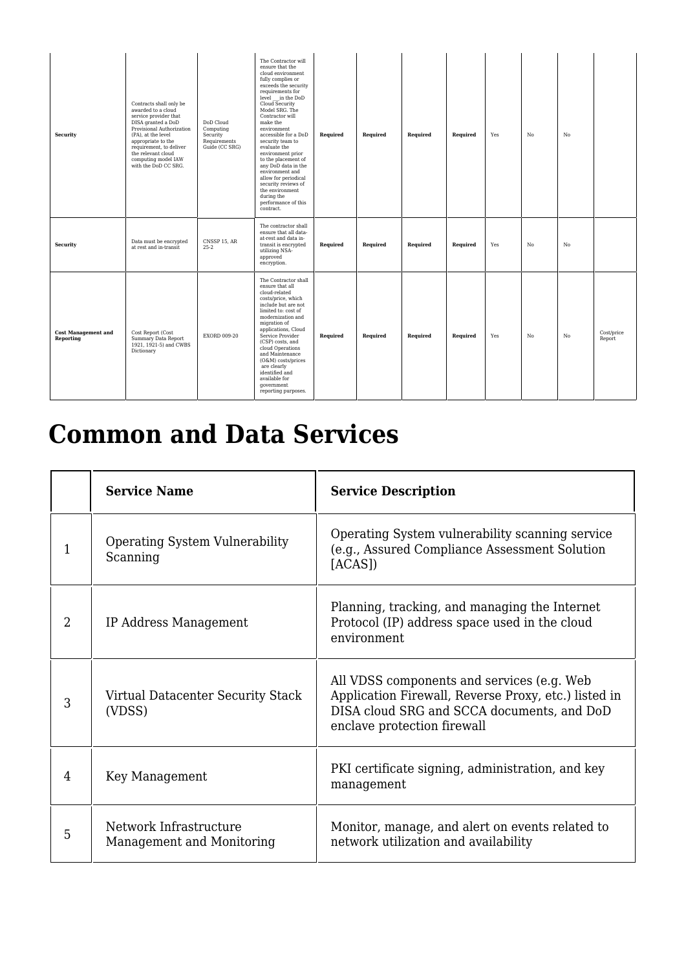| <b>Security</b>                         | Contracts shall only be<br>awarded to a cloud<br>service provider that<br>DISA granted a DoD<br>Provisional Authorization<br>(PA), at the level<br>appropriate to the<br>requirement, to deliver<br>the relevant cloud<br>computing model IAW<br>with the DoD CC SRG. | DoD Cloud<br>Computing<br>Security<br>Requirements<br>Guide (CC SRG) | The Contractor will<br>ensure that the<br>cloud environment<br>fully complies or<br>exceeds the security<br>requirements for<br>level in the DoD<br>$Cloud$ Security<br>Model SRG. The<br>Contractor will<br>make the<br>environment<br>accessible for a DoD<br>security team to<br>evaluate the<br>environment prior<br>to the placement of<br>any DoD data in the<br>environment and<br>allow for periodical<br>security reviews of<br>the environment<br>during the<br>performance of this<br>contract. | Required | Required | Required | Required | Yes | No | No             |                      |
|-----------------------------------------|-----------------------------------------------------------------------------------------------------------------------------------------------------------------------------------------------------------------------------------------------------------------------|----------------------------------------------------------------------|------------------------------------------------------------------------------------------------------------------------------------------------------------------------------------------------------------------------------------------------------------------------------------------------------------------------------------------------------------------------------------------------------------------------------------------------------------------------------------------------------------|----------|----------|----------|----------|-----|----|----------------|----------------------|
| Security                                | Data must be encrypted<br>at rest and in-transit                                                                                                                                                                                                                      | CNSSP 15, AR<br>$25 - 2$                                             | The contractor shall<br>ensure that all data-<br>at-rest and data in-<br>transit is encrypted<br>utilizing NSA-<br>approved<br>encryption.                                                                                                                                                                                                                                                                                                                                                                 | Required | Required | Required | Required | Yes | No | N <sub>0</sub> |                      |
| <b>Cost Management and</b><br>Reporting | Cost Report (Cost<br>Summary Data Report<br>1921, 1921-5) and CWBS<br>Dictionary                                                                                                                                                                                      | <b>EXORD 009-20</b>                                                  | The Contractor shall<br>ensure that all<br>cloud-related<br>costs/price, which<br>include but are not<br>limited to: cost of<br>modernization and<br>migration of<br>applications, Cloud<br>Service Provider<br>(CSP) costs, and<br>cloud Operations<br>and Maintenance<br>(O&M) costs/prices<br>are clearly<br>identified and<br>available for<br>qovernment<br>reporting purposes.                                                                                                                       | Required | Required | Required | Required | Yes | No | No             | Cost/price<br>Report |

## **Common and Data Services**

|                | <b>Service Name</b>                                 | <b>Service Description</b>                                                                                                                                                      |
|----------------|-----------------------------------------------------|---------------------------------------------------------------------------------------------------------------------------------------------------------------------------------|
|                | <b>Operating System Vulnerability</b><br>Scanning   | Operating System vulnerability scanning service<br>(e.g., Assured Compliance Assessment Solution<br>[ACAS]                                                                      |
| $\overline{2}$ | IP Address Management                               | Planning, tracking, and managing the Internet<br>Protocol (IP) address space used in the cloud<br>environment                                                                   |
| 3              | Virtual Datacenter Security Stack<br>(VDSS)         | All VDSS components and services (e.g. Web<br>Application Firewall, Reverse Proxy, etc.) listed in<br>DISA cloud SRG and SCCA documents, and DoD<br>enclave protection firewall |
| 4              | Key Management                                      | PKI certificate signing, administration, and key<br>management                                                                                                                  |
| 5              | Network Infrastructure<br>Management and Monitoring | Monitor, manage, and alert on events related to<br>network utilization and availability                                                                                         |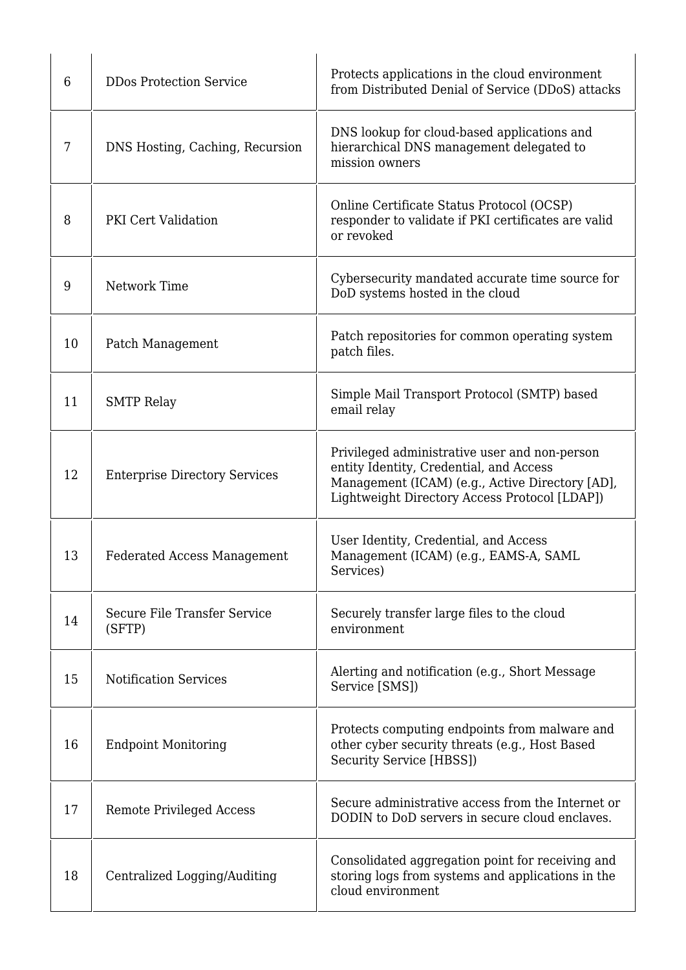| 6  | <b>DDos Protection Service</b>         | Protects applications in the cloud environment<br>from Distributed Denial of Service (DDoS) attacks                                                                                          |
|----|----------------------------------------|----------------------------------------------------------------------------------------------------------------------------------------------------------------------------------------------|
| 7  | DNS Hosting, Caching, Recursion        | DNS lookup for cloud-based applications and<br>hierarchical DNS management delegated to<br>mission owners                                                                                    |
| 8  | PKI Cert Validation                    | Online Certificate Status Protocol (OCSP)<br>responder to validate if PKI certificates are valid<br>or revoked                                                                               |
| 9  | Network Time                           | Cybersecurity mandated accurate time source for<br>DoD systems hosted in the cloud                                                                                                           |
| 10 | Patch Management                       | Patch repositories for common operating system<br>patch files.                                                                                                                               |
| 11 | <b>SMTP Relay</b>                      | Simple Mail Transport Protocol (SMTP) based<br>email relay                                                                                                                                   |
| 12 | <b>Enterprise Directory Services</b>   | Privileged administrative user and non-person<br>entity Identity, Credential, and Access<br>Management (ICAM) (e.g., Active Directory [AD],<br>Lightweight Directory Access Protocol [LDAP]) |
| 13 | <b>Federated Access Management</b>     | User Identity, Credential, and Access<br>Management (ICAM) (e.g., EAMS-A, SAML<br>Services)                                                                                                  |
| 14 | Secure File Transfer Service<br>(SFTP) | Securely transfer large files to the cloud<br>environment                                                                                                                                    |
| 15 | <b>Notification Services</b>           | Alerting and notification (e.g., Short Message<br>Service [SMS])                                                                                                                             |
| 16 | <b>Endpoint Monitoring</b>             | Protects computing endpoints from malware and<br>other cyber security threats (e.g., Host Based<br>Security Service [HBSS])                                                                  |
| 17 | <b>Remote Privileged Access</b>        | Secure administrative access from the Internet or<br>DODIN to DoD servers in secure cloud enclaves.                                                                                          |
| 18 | Centralized Logging/Auditing           | Consolidated aggregation point for receiving and<br>storing logs from systems and applications in the<br>cloud environment                                                                   |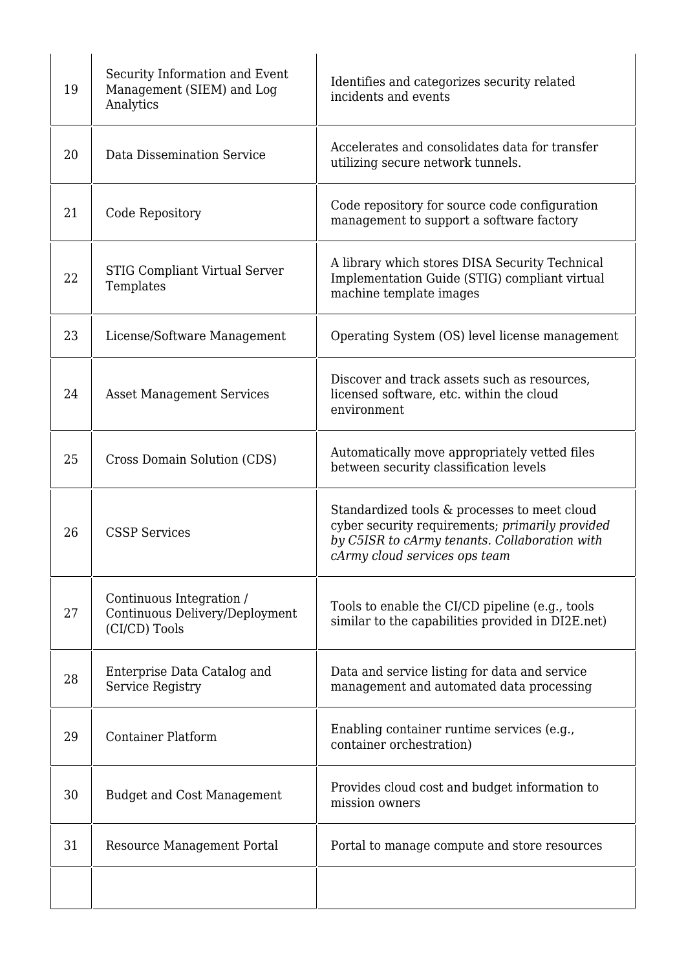| 19 | Security Information and Event<br>Management (SIEM) and Log<br>Analytics    | Identifies and categorizes security related<br>incidents and events                                                                                                               |
|----|-----------------------------------------------------------------------------|-----------------------------------------------------------------------------------------------------------------------------------------------------------------------------------|
| 20 | Data Dissemination Service                                                  | Accelerates and consolidates data for transfer<br>utilizing secure network tunnels.                                                                                               |
| 21 | Code Repository                                                             | Code repository for source code configuration<br>management to support a software factory                                                                                         |
| 22 | STIG Compliant Virtual Server<br>Templates                                  | A library which stores DISA Security Technical<br>Implementation Guide (STIG) compliant virtual<br>machine template images                                                        |
| 23 | License/Software Management                                                 | Operating System (OS) level license management                                                                                                                                    |
| 24 | <b>Asset Management Services</b>                                            | Discover and track assets such as resources,<br>licensed software, etc. within the cloud<br>environment                                                                           |
| 25 | Cross Domain Solution (CDS)                                                 | Automatically move appropriately vetted files<br>between security classification levels                                                                                           |
| 26 | <b>CSSP Services</b>                                                        | Standardized tools & processes to meet cloud<br>cyber security requirements; primarily provided<br>by C5ISR to cArmy tenants. Collaboration with<br>cArmy cloud services ops team |
| 27 | Continuous Integration /<br>Continuous Delivery/Deployment<br>(CI/CD) Tools | Tools to enable the CI/CD pipeline (e.g., tools<br>similar to the capabilities provided in DI2E.net)                                                                              |
| 28 | Enterprise Data Catalog and<br><b>Service Registry</b>                      | Data and service listing for data and service<br>management and automated data processing                                                                                         |
| 29 | <b>Container Platform</b>                                                   | Enabling container runtime services (e.g.,<br>container orchestration)                                                                                                            |
| 30 | <b>Budget and Cost Management</b>                                           | Provides cloud cost and budget information to<br>mission owners                                                                                                                   |
| 31 | Resource Management Portal                                                  | Portal to manage compute and store resources                                                                                                                                      |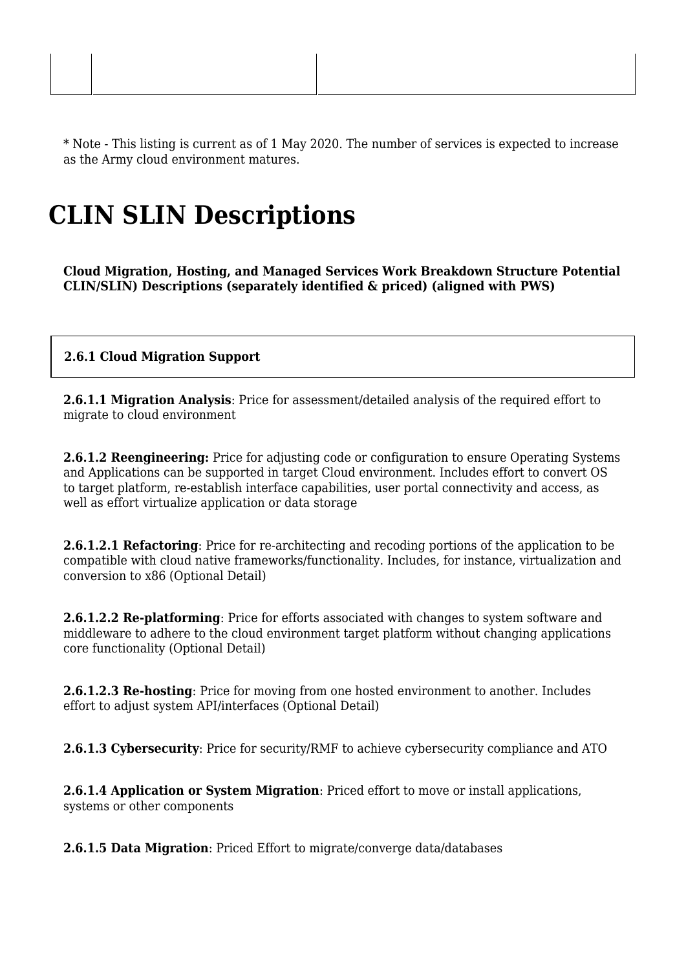\* Note - This listing is current as of 1 May 2020. The number of services is expected to increase as the Army cloud environment matures.

### **CLIN SLIN Descriptions**

**Cloud Migration, Hosting, and Managed Services Work Breakdown Structure Potential CLIN/SLIN) Descriptions (separately identified & priced) (aligned with PWS)**

#### **2.6.1 Cloud Migration Support**

**2.6.1.1 Migration Analysis**: Price for assessment/detailed analysis of the required effort to migrate to cloud environment

**2.6.1.2 Reengineering:** Price for adjusting code or configuration to ensure Operating Systems and Applications can be supported in target Cloud environment. Includes effort to convert OS to target platform, re-establish interface capabilities, user portal connectivity and access, as well as effort virtualize application or data storage

**2.6.1.2.1 Refactoring**: Price for re-architecting and recoding portions of the application to be compatible with cloud native frameworks/functionality. Includes, for instance, virtualization and conversion to x86 (Optional Detail)

**2.6.1.2.2 Re-platforming**: Price for efforts associated with changes to system software and middleware to adhere to the cloud environment target platform without changing applications core functionality (Optional Detail)

**2.6.1.2.3 Re-hosting**: Price for moving from one hosted environment to another. Includes effort to adjust system API/interfaces (Optional Detail)

**2.6.1.3 Cybersecurity**: Price for security/RMF to achieve cybersecurity compliance and ATO

**2.6.1.4 Application or System Migration**: Priced effort to move or install applications, systems or other components

**2.6.1.5 Data Migration**: Priced Effort to migrate/converge data/databases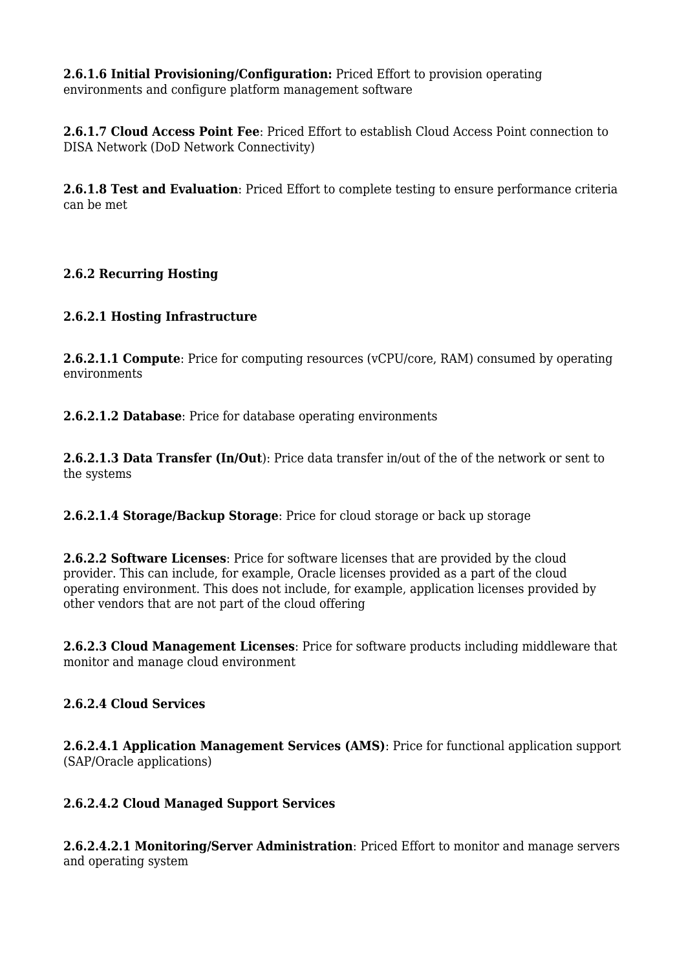**2.6.1.6 Initial Provisioning/Configuration:** Priced Effort to provision operating environments and configure platform management software

**2.6.1.7 Cloud Access Point Fee**: Priced Effort to establish Cloud Access Point connection to DISA Network (DoD Network Connectivity)

**2.6.1.8 Test and Evaluation**: Priced Effort to complete testing to ensure performance criteria can be met

#### **2.6.2 Recurring Hosting**

#### **2.6.2.1 Hosting Infrastructure**

**2.6.2.1.1 Compute**: Price for computing resources (vCPU/core, RAM) consumed by operating environments

**2.6.2.1.2 Database**: Price for database operating environments

**2.6.2.1.3 Data Transfer (In/Out**): Price data transfer in/out of the of the network or sent to the systems

**2.6.2.1.4 Storage/Backup Storage**: Price for cloud storage or back up storage

**2.6.2.2 Software Licenses**: Price for software licenses that are provided by the cloud provider. This can include, for example, Oracle licenses provided as a part of the cloud operating environment. This does not include, for example, application licenses provided by other vendors that are not part of the cloud offering

**2.6.2.3 Cloud Management Licenses**: Price for software products including middleware that monitor and manage cloud environment

#### **2.6.2.4 Cloud Services**

**2.6.2.4.1 Application Management Services (AMS)**: Price for functional application support (SAP/Oracle applications)

#### **2.6.2.4.2 Cloud Managed Support Services**

**2.6.2.4.2.1 Monitoring/Server Administration**: Priced Effort to monitor and manage servers and operating system